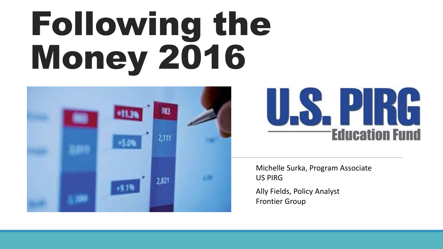# Following the Money 2016





Michelle Surka, Program Associate US PIRG

Ally Fields, Policy Analyst Frontier Group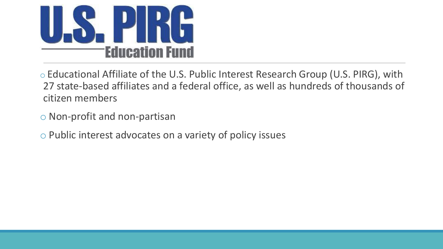

o Educational Affiliate of the U.S. Public Interest Research Group (U.S. PIRG), with 27 state-based affiliates and a federal office, as well as hundreds of thousands of citizen members

- o Non-profit and non-partisan
- o Public interest advocates on a variety of policy issues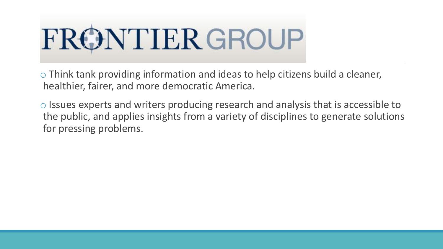

o Think tank providing information and ideas to help citizens build a cleaner, healthier, fairer, and more democratic America.

o Issues experts and writers producing research and analysis that is accessible to the public, and applies insights from a variety of disciplines to generate solutions for pressing problems.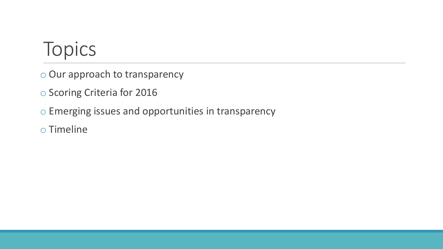#### Topics

- o Our approach to transparency
- o Scoring Criteria for 2016
- o Emerging issues and opportunities in transparency
- o Timeline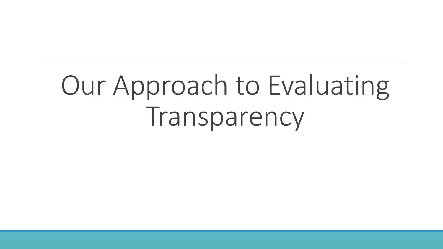# Our Approach to Evaluating Transparency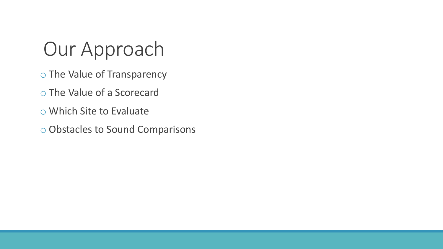#### Our Approach

- o The Value of Transparency
- o The Value of a Scorecard
- o Which Site to Evaluate
- o Obstacles to Sound Comparisons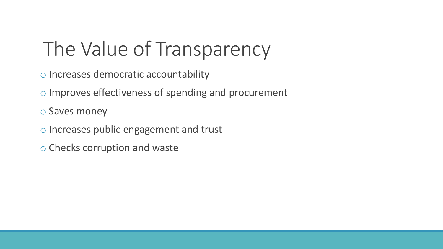# The Value of Transparency

- o Increases democratic accountability
- o Improves effectiveness of spending and procurement
- o Saves money
- o Increases public engagement and trust
- o Checks corruption and waste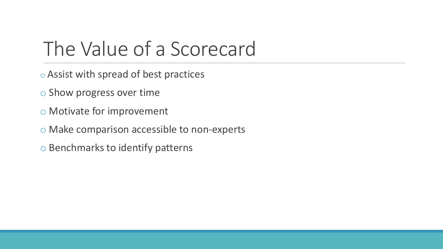#### The Value of a Scorecard

- o Assist with spread of best practices
- o Show progress over time
- o Motivate for improvement
- o Make comparison accessible to non-experts
- o Benchmarks to identify patterns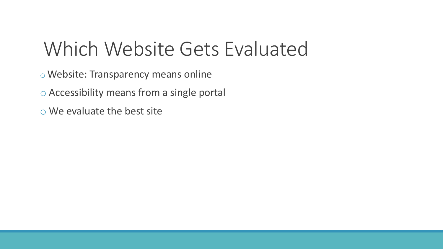#### Which Website Gets Evaluated

- o Website: Transparency means online
- o Accessibility means from a single portal
- o We evaluate the best site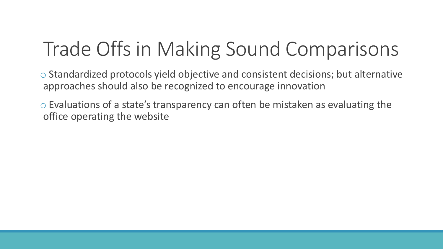# Trade Offs in Making Sound Comparisons

o Standardized protocols yield objective and consistent decisions; but alternative approaches should also be recognized to encourage innovation

o Evaluations of a state's transparency can often be mistaken as evaluating the office operating the website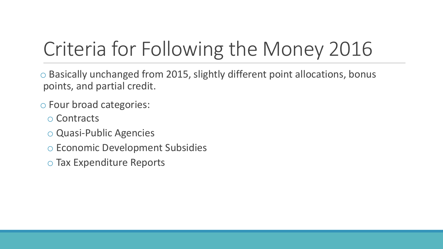# Criteria for Following the Money 2016

o Basically unchanged from 2015, slightly different point allocations, bonus points, and partial credit.

- o Four broad categories:
	- o Contracts
	- o Quasi-Public Agencies
	- o Economic Development Subsidies
	- o Tax Expenditure Reports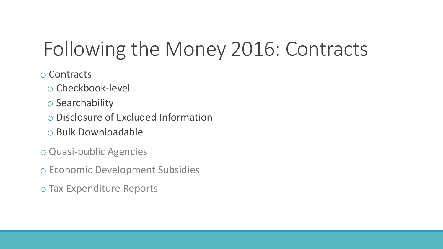# Following the Money 2016: Contracts

- o Contracts
	- o Checkbook-level
	- o Searchability
	- o Disclosure of Excluded Information
	- o Bulk Downloadable
- o Quasi-public Agencies
- o Economic Development Subsidies
- o Tax Expenditure Reports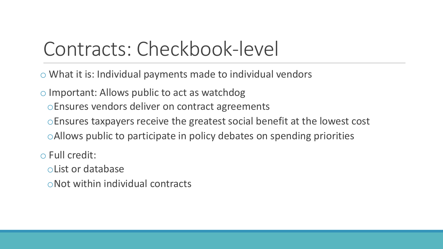#### Contracts: Checkbook-level

- o What it is: Individual payments made to individual vendors
- o Important: Allows public to act as watchdog
	- oEnsures vendors deliver on contract agreements
	- oEnsures taxpayers receive the greatest social benefit at the lowest cost
	- oAllows public to participate in policy debates on spending priorities
- o Full credit:
	- oList or database
	- oNot within individual contracts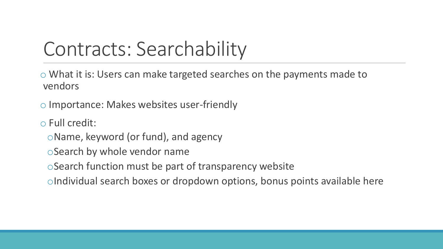#### Contracts: Searchability

o What it is: Users can make targeted searches on the payments made to vendors

o Importance: Makes websites user-friendly

o Full credit:

oName, keyword (or fund), and agency

oSearch by whole vendor name

oSearch function must be part of transparency website

oIndividual search boxes or dropdown options, bonus points available here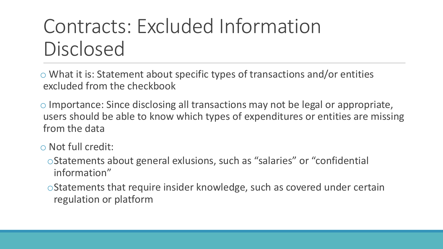# Contracts: Excluded Information Disclosed

 $\circ$  What it is: Statement about specific types of transactions and/or entities excluded from the checkbook

o Importance: Since disclosing all transactions may not be legal or appropriate, users should be able to know which types of expenditures or entities are missing from the data

- o Not full credit:
	- oStatements about general exlusions, such as "salaries" or "confidential information"

oStatements that require insider knowledge, such as covered under certain regulation or platform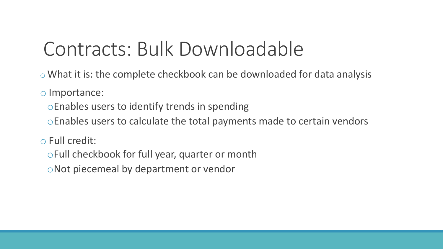#### Contracts: Bulk Downloadable

- o What it is: the complete checkbook can be downloaded for data analysis
- o Importance:
	- oEnables users to identify trends in spending
	- oEnables users to calculate the total payments made to certain vendors
- o Full credit:
	- oFull checkbook for full year, quarter or month
	- oNot piecemeal by department or vendor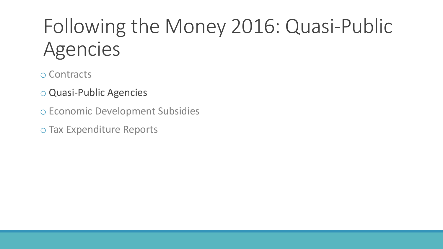# Following the Money 2016: Quasi-Public Agencies

- o Contracts
- o Quasi-Public Agencies
- o Economic Development Subsidies
- o Tax Expenditure Reports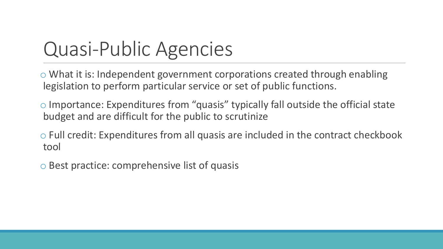#### Quasi-Public Agencies

o What it is: Independent government corporations created through enabling legislation to perform particular service or set of public functions.

- o Importance: Expenditures from "quasis" typically fall outside the official state budget and are difficult for the public to scrutinize
- o Full credit: Expenditures from all quasis are included in the contract checkbook tool
- o Best practice: comprehensive list of quasis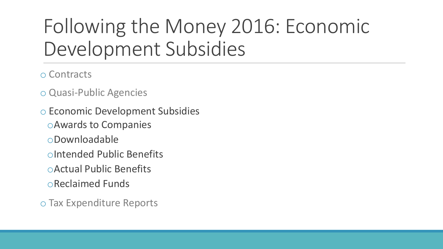# Following the Money 2016: Economic Development Subsidies

- o Contracts
- o Quasi-Public Agencies

o Economic Development Subsidies oAwards to Companies oDownloadable oIntended Public Benefits oActual Public Benefits oReclaimed Funds

o Tax Expenditure Reports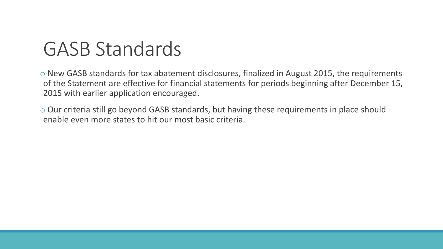#### GASB Standards

o New GASB standards for tax abatement disclosures, finalized in August 2015, the requirements of the Statement are effective for financial statements for periods beginning after December 15, 2015 with earlier application encouraged.

o Our criteria still go beyond GASB standards, but having these requirements in place should enable even more states to hit our most basic criteria.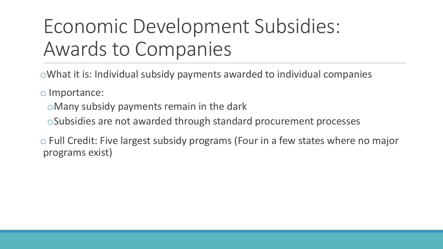# Economic Development Subsidies: Awards to Companies

oWhat it is: Individual subsidy payments awarded to individual companies

o Importance:

oMany subsidy payments remain in the dark

oSubsidies are not awarded through standard procurement processes

o Full Credit: Five largest subsidy programs (Four in a few states where no major programs exist)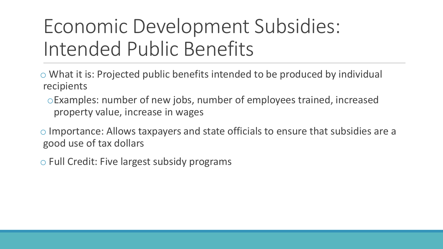# Economic Development Subsidies: Intended Public Benefits

- o What it is: Projected public benefits intended to be produced by individual recipients
	- oExamples: number of new jobs, number of employees trained, increased property value, increase in wages
- o Importance: Allows taxpayers and state officials to ensure that subsidies are a good use of tax dollars
- o Full Credit: Five largest subsidy programs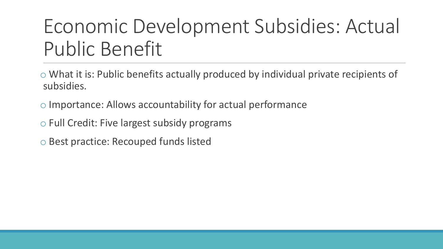# Economic Development Subsidies: Actual Public Benefit

- o What it is: Public benefits actually produced by individual private recipients of subsidies.
- o Importance: Allows accountability for actual performance
- o Full Credit: Five largest subsidy programs
- o Best practice: Recouped funds listed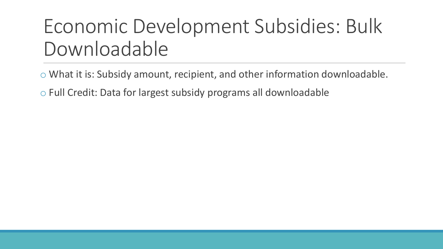#### Economic Development Subsidies: Bulk Downloadable

o What it is: Subsidy amount, recipient, and other information downloadable.

o Full Credit: Data for largest subsidy programs all downloadable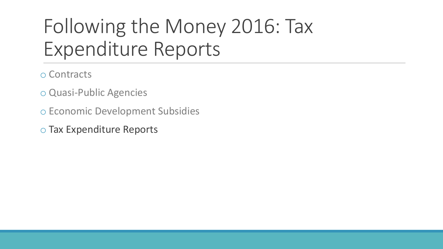# Following the Money 2016: Tax Expenditure Reports

- o Contracts
- o Quasi-Public Agencies
- o Economic Development Subsidies
- o Tax Expenditure Reports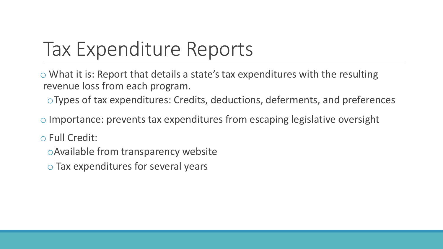# Tax Expenditure Reports

o What it is: Report that details a state's tax expenditures with the resulting revenue loss from each program.

oTypes of tax expenditures: Credits, deductions, deferments, and preferences

o Importance: prevents tax expenditures from escaping legislative oversight

o Full Credit:

oAvailable from transparency website

o Tax expenditures for several years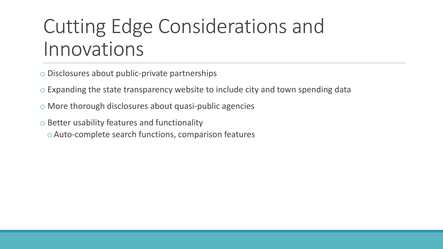#### Cutting Edge Considerations and Innovations

- o Disclosures about public-private partnerships
- o Expanding the state transparency website to include city and town spending data
- o More thorough disclosures about quasi-public agencies
- o Better usability features and functionality
	- oAuto-complete search functions, comparison features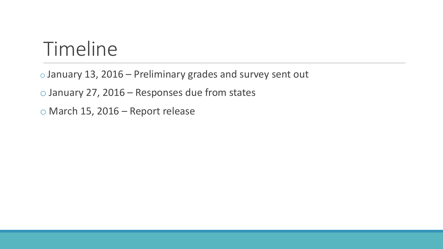#### Timeline

o January 13, 2016 – Preliminary grades and survey sent out

o January 27, 2016 – Responses due from states

o March 15, 2016 – Report release